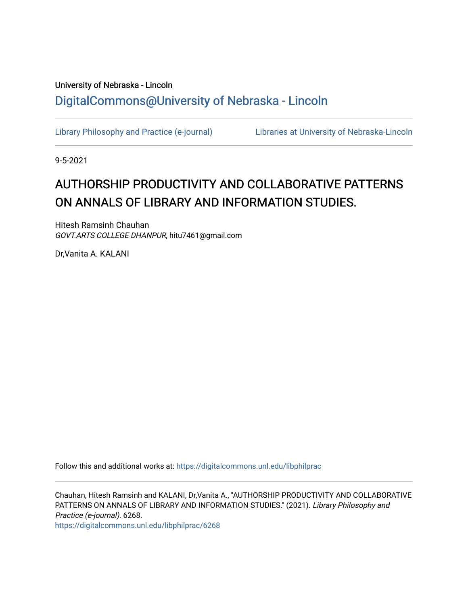## University of Nebraska - Lincoln [DigitalCommons@University of Nebraska - Lincoln](https://digitalcommons.unl.edu/)

[Library Philosophy and Practice \(e-journal\)](https://digitalcommons.unl.edu/libphilprac) [Libraries at University of Nebraska-Lincoln](https://digitalcommons.unl.edu/libraries) 

9-5-2021

# AUTHORSHIP PRODUCTIVITY AND COLLABORATIVE PATTERNS ON ANNALS OF LIBRARY AND INFORMATION STUDIES.

Hitesh Ramsinh Chauhan GOVT.ARTS COLLEGE DHANPUR, hitu7461@gmail.com

Dr,Vanita A. KALANI

Follow this and additional works at: [https://digitalcommons.unl.edu/libphilprac](https://digitalcommons.unl.edu/libphilprac?utm_source=digitalcommons.unl.edu%2Flibphilprac%2F6268&utm_medium=PDF&utm_campaign=PDFCoverPages) 

Chauhan, Hitesh Ramsinh and KALANI, Dr,Vanita A., "AUTHORSHIP PRODUCTIVITY AND COLLABORATIVE PATTERNS ON ANNALS OF LIBRARY AND INFORMATION STUDIES." (2021). Library Philosophy and Practice (e-journal). 6268. [https://digitalcommons.unl.edu/libphilprac/6268](https://digitalcommons.unl.edu/libphilprac/6268?utm_source=digitalcommons.unl.edu%2Flibphilprac%2F6268&utm_medium=PDF&utm_campaign=PDFCoverPages)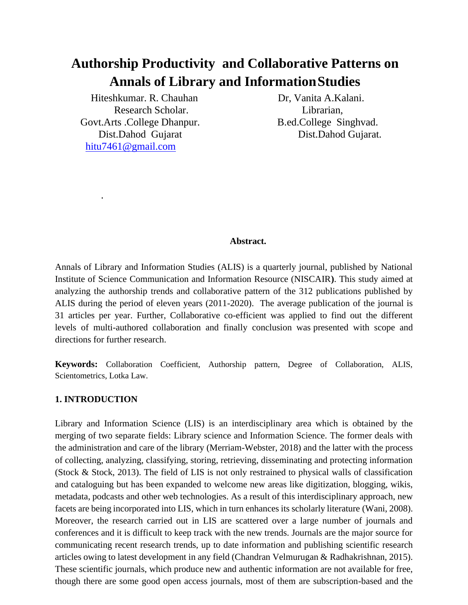## **Authorship Productivity and Collaborative Patterns on Annals of Library and InformationStudies**

Hiteshkumar. R. Chauhan Dr, Vanita A.Kalani. Research Scholar. Librarian, Govt.Arts .College Dhanpur. B.ed.College Singhvad. Dist.Dahod Gujarat Dist.Dahod Gujarat. [hitu7461@gmail.com](mailto:hitu7461@gmail.com)

#### **Abstract.**

Annals of Library and Information Studies (ALIS) is a quarterly journal, published by National Institute of Science Communication and Information Resource (NISCAIR**)**. This study aimed at analyzing the authorship trends and collaborative pattern of the 312 publications published by ALIS during the period of eleven years (2011-2020). The average publication of the journal is 31 articles per year. Further, Collaborative co-efficient was applied to find out the different levels of multi-authored collaboration and finally conclusion was presented with scope and directions for further research.

**Keywords:** Collaboration Coefficient, Authorship pattern, Degree of Collaboration, ALIS, Scientometrics, Lotka Law.

## **1. INTRODUCTION**

.

Library and Information Science (LIS) is an interdisciplinary area which is obtained by the merging of two separate fields: Library science and Information Science. The former deals with the administration and care of the library (Merriam-Webster, 2018) and the latter with the process of collecting, analyzing, classifying, storing, retrieving, disseminating and protecting information (Stock & Stock, 2013). The field of LIS is not only restrained to physical walls of classification and cataloguing but has been expanded to welcome new areas like digitization, blogging, wikis, metadata, podcasts and other web technologies. As a result of this interdisciplinary approach, new facets are being incorporated into LIS, which in turn enhances its scholarly literature (Wani, 2008). Moreover, the research carried out in LIS are scattered over a large number of journals and conferences and it is difficult to keep track with the new trends. Journals are the major source for communicating recent research trends, up to date information and publishing scientific research articles owing to latest development in any field (Chandran Velmurugan & Radhakrishnan, 2015). These scientific journals, which produce new and authentic information are not available for free, though there are some good open access journals, most of them are subscription-based and the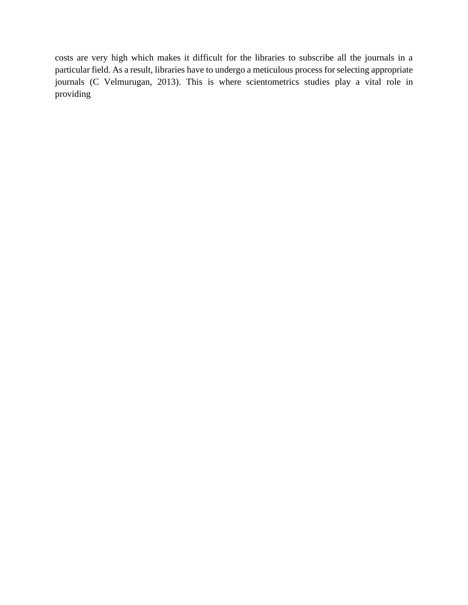costs are very high which makes it difficult for the libraries to subscribe all the journals in a particular field. As a result, libraries have to undergo a meticulous process forselecting appropriate journals (C Velmurugan, 2013). This is where scientometrics studies play a vital role in providing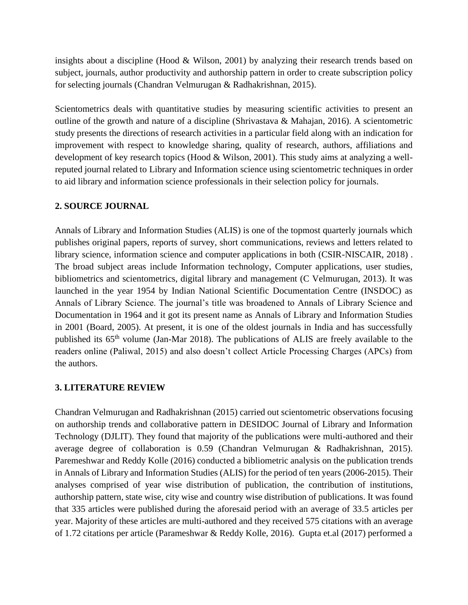insights about a discipline (Hood  $&$  Wilson, 2001) by analyzing their research trends based on subject, journals, author productivity and authorship pattern in order to create subscription policy for selecting journals (Chandran Velmurugan & Radhakrishnan, 2015).

Scientometrics deals with quantitative studies by measuring scientific activities to present an outline of the growth and nature of a discipline (Shrivastava & Mahajan, 2016). A scientometric study presents the directions of research activities in a particular field along with an indication for improvement with respect to knowledge sharing, quality of research, authors, affiliations and development of key research topics (Hood & Wilson, 2001). This study aims at analyzing a wellreputed journal related to Library and Information science using scientometric techniques in order to aid library and information science professionals in their selection policy for journals.

## **2. SOURCE JOURNAL**

Annals of Library and Information Studies (ALIS) is one of the topmost quarterly journals which publishes original papers, reports of survey, short communications, reviews and letters related to library science, information science and computer applications in both (CSIR-NISCAIR, 2018) . The broad subject areas include Information technology, Computer applications, user studies, bibliometrics and scientometrics, digital library and management (C Velmurugan, 2013). It was launched in the year 1954 by Indian National Scientific Documentation Centre (INSDOC) as Annals of Library Science. The journal's title was broadened to Annals of Library Science and Documentation in 1964 and it got its present name as Annals of Library and Information Studies in 2001 (Board, 2005). At present, it is one of the oldest journals in India and has successfully published its 65<sup>th</sup> volume (Jan-Mar 2018). The publications of ALIS are freely available to the readers online (Paliwal, 2015) and also doesn't collect Article Processing Charges (APCs) from the authors.

#### **3. LITERATURE REVIEW**

Chandran Velmurugan and Radhakrishnan (2015) carried out scientometric observations focusing on authorship trends and collaborative pattern in DESIDOC Journal of Library and Information Technology (DJLIT). They found that majority of the publications were multi-authored and their average degree of collaboration is 0.59 (Chandran Velmurugan & Radhakrishnan, 2015). Paremeshwar and Reddy Kolle (2016) conducted a bibliometric analysis on the publication trends in Annals of Library and Information Studies (ALIS) for the period of ten years (2006-2015). Their analyses comprised of year wise distribution of publication, the contribution of institutions, authorship pattern, state wise, city wise and country wise distribution of publications. It was found that 335 articles were published during the aforesaid period with an average of 33.5 articles per year. Majority of these articles are multi-authored and they received 575 citations with an average of 1.72 citations per article (Parameshwar & Reddy Kolle, 2016). Gupta et.al (2017) performed a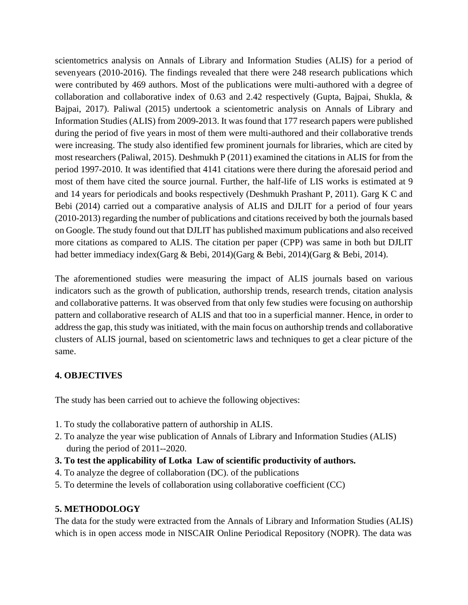scientometrics analysis on Annals of Library and Information Studies (ALIS) for a period of sevenyears (2010-2016). The findings revealed that there were 248 research publications which were contributed by 469 authors. Most of the publications were multi-authored with a degree of collaboration and collaborative index of 0.63 and 2.42 respectively (Gupta, Bajpai, Shukla, & Bajpai, 2017). Paliwal (2015) undertook a scientometric analysis on Annals of Library and Information Studies (ALIS) from 2009-2013. It was found that 177 research papers were published during the period of five years in most of them were multi-authored and their collaborative trends were increasing. The study also identified few prominent journals for libraries, which are cited by most researchers (Paliwal, 2015). Deshmukh P (2011) examined the citations in ALIS for from the period 1997-2010. It was identified that 4141 citations were there during the aforesaid period and most of them have cited the source journal. Further, the half-life of LIS works is estimated at 9 and 14 years for periodicals and books respectively (Deshmukh Prashant P, 2011). Garg K C and Bebi (2014) carried out a comparative analysis of ALIS and DJLIT for a period of four years (2010-2013) regarding the number of publications and citations received by both the journals based on Google. The study found out that DJLIT has published maximum publications and also received more citations as compared to ALIS. The citation per paper (CPP) was same in both but DJLIT had better immediacy index(Garg & Bebi, 2014)(Garg & Bebi, 2014)(Garg & Bebi, 2014).

The aforementioned studies were measuring the impact of ALIS journals based on various indicators such as the growth of publication, authorship trends, research trends, citation analysis and collaborative patterns. It was observed from that only few studies were focusing on authorship pattern and collaborative research of ALIS and that too in a superficial manner. Hence, in order to address the gap, this study was initiated, with the main focus on authorship trends and collaborative clusters of ALIS journal, based on scientometric laws and techniques to get a clear picture of the same.

## **4. OBJECTIVES**

The study has been carried out to achieve the following objectives:

- 1. To study the collaborative pattern of authorship in ALIS.
- 2. To analyze the year wise publication of Annals of Library and Information Studies (ALIS) during the period of 2011--2020.
- **3. To test the applicability of Lotka Law of scientific productivity of authors.**
- 4. To analyze the degree of collaboration (DC). of the publications
- 5. To determine the levels of collaboration using collaborative coefficient (CC)

## **5. METHODOLOGY**

The data for the study were extracted from the Annals of Library and Information Studies (ALIS) which is in open access mode in NISCAIR Online Periodical Repository (NOPR). The data was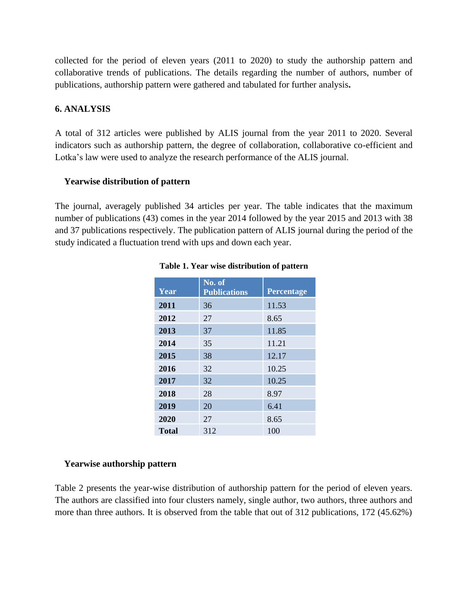collected for the period of eleven years (2011 to 2020) to study the authorship pattern and collaborative trends of publications. The details regarding the number of authors, number of publications, authorship pattern were gathered and tabulated for further analysis**.**

## **6. ANALYSIS**

A total of 312 articles were published by ALIS journal from the year 2011 to 2020. Several indicators such as authorship pattern, the degree of collaboration, collaborative co-efficient and Lotka's law were used to analyze the research performance of the ALIS journal.

#### **Yearwise distribution of pattern**

The journal, averagely published 34 articles per year. The table indicates that the maximum number of publications (43) comes in the year 2014 followed by the year 2015 and 2013 with 38 and 37 publications respectively. The publication pattern of ALIS journal during the period of the study indicated a fluctuation trend with ups and down each year.

| Year         | No. of<br><b>Publications</b> | Percentage |
|--------------|-------------------------------|------------|
| 2011         | 36                            | 11.53      |
| 2012         | 27                            | 8.65       |
| 2013         | 37                            | 11.85      |
| 2014         | 35                            | 11.21      |
| 2015         | 38                            | 12.17      |
| 2016         | 32                            | 10.25      |
| 2017         | 32                            | 10.25      |
| 2018         | 28                            | 8.97       |
| 2019         | 20                            | 6.41       |
| 2020         | 27                            | 8.65       |
| <b>Total</b> | 312                           | 100        |

#### **Table 1. Year wise distribution of pattern**

#### **Yearwise authorship pattern**

Table 2 presents the year-wise distribution of authorship pattern for the period of eleven years. The authors are classified into four clusters namely, single author, two authors, three authors and more than three authors. It is observed from the table that out of 312 publications, 172 (45.62%)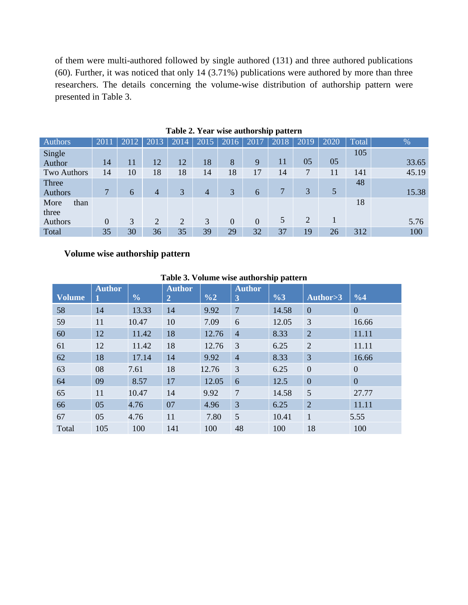of them were multi-authored followed by single authored (131) and three authored publications (60). Further, it was noticed that only 14 (3.71%) publications were authored by more than three researchers. The details concerning the volume-wise distribution of authorship pattern were presented in Table 3.

| <b>Authors</b>     | 2011           | 2012 | 2013           | 2014           | 2015 | 2016           | 2017           | 2018          | 2019           | 2020 | Total | $\%$  |
|--------------------|----------------|------|----------------|----------------|------|----------------|----------------|---------------|----------------|------|-------|-------|
| Single             |                |      |                |                |      |                |                |               |                |      | 105   |       |
| Author             | 14             | 11   | 12             | 12             | 18   | 8              | 9              | 11            | 05             | 05   |       | 33.65 |
| <b>Two Authors</b> | 14             | 10   | 18             | 18             | 14   | 18             | 17             | 14            | 7              | 11   | 141   | 45.19 |
| Three              |                |      |                |                |      |                |                |               |                |      | 48    |       |
| Authors            | $\overline{7}$ | 6    | 4              | 3              | 4    | 3              | 6              | $\mathcal{I}$ | 3              | 5    |       | 15.38 |
| More<br>than       |                |      |                |                |      |                |                |               |                |      | 18    |       |
| three              |                |      |                |                |      |                |                |               |                |      |       |       |
| Authors            | $\overline{0}$ | 3    | $\overline{2}$ | $\overline{2}$ | 3    | $\overline{0}$ | $\overline{0}$ | 5             | $\overline{2}$ |      |       | 5.76  |
| Total              | 35             | 30   | 36             | 35             | 39   | 29             | 32             | 37            | 19             | 26   | 312   | 100   |

**Table 2. Year wise authorship pattern**

## **Volume wise authorship pattern**

#### **Table 3. Volume wise authorship pattern**

|               |               |               |                                 |               |                    | . .            |                |                |
|---------------|---------------|---------------|---------------------------------|---------------|--------------------|----------------|----------------|----------------|
| <b>Volume</b> | <b>Author</b> | $\frac{0}{0}$ | <b>Author</b><br>$\overline{2}$ | $\frac{0}{2}$ | <b>Author</b><br>3 | $\frac{9}{63}$ | Author>3       | $\frac{0}{64}$ |
| 58            | 14            | 13.33         | 14                              | 9.92          | $\overline{7}$     | 14.58          | $\mathbf{0}$   | $\Omega$       |
| 59            | 11            | 10.47         | 10                              | 7.09          | 6                  | 12.05          | 3              | 16.66          |
| 60            | 12            | 11.42         | 18                              | 12.76         | $\overline{4}$     | 8.33           | $\overline{2}$ | 11.11          |
| 61            | 12            | 11.42         | 18                              | 12.76         | 3                  | 6.25           | $\overline{2}$ | 11.11          |
| 62            | 18            | 17.14         | 14                              | 9.92          | $\overline{4}$     | 8.33           | 3              | 16.66          |
| 63            | 08            | 7.61          | 18                              | 12.76         | 3                  | 6.25           | $\overline{0}$ | $\theta$       |
| 64            | 09            | 8.57          | 17                              | 12.05         | 6                  | 12.5           | $\overline{0}$ | $\theta$       |
| 65            | 11            | 10.47         | 14                              | 9.92          | $\overline{7}$     | 14.58          | 5              | 27.77          |
| 66            | 05            | 4.76          | 07                              | 4.96          | 3                  | 6.25           | $\overline{2}$ | 11.11          |
| 67            | 05            | 4.76          | 11                              | 7.80          | 5                  | 10.41          | $\mathbf{1}$   | 5.55           |
| Total         | 105           | 100           | 141                             | 100           | 48                 | 100            | 18             | 100            |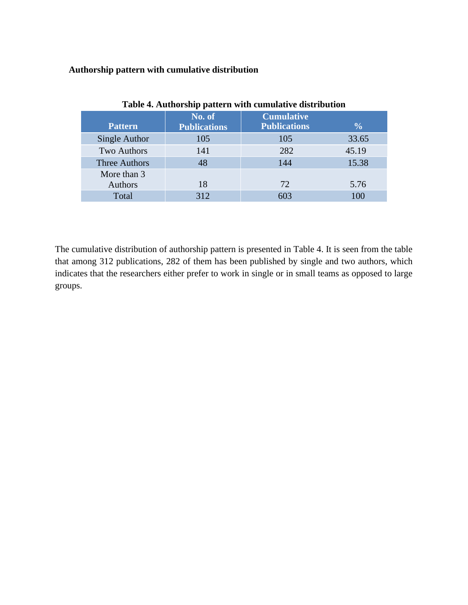## **Authorship pattern with cumulative distribution**

| Twore is required bully puttored within computative and the water |                               |                                          |               |  |  |  |  |  |  |
|-------------------------------------------------------------------|-------------------------------|------------------------------------------|---------------|--|--|--|--|--|--|
| <b>Pattern</b>                                                    | No. of<br><b>Publications</b> | <b>Cumulative</b><br><b>Publications</b> | $\frac{0}{0}$ |  |  |  |  |  |  |
| Single Author                                                     | 105                           | 105                                      | 33.65         |  |  |  |  |  |  |
| <b>Two Authors</b>                                                | 141                           | 282                                      | 45.19         |  |  |  |  |  |  |
| <b>Three Authors</b>                                              | 48                            | 144                                      | 15.38         |  |  |  |  |  |  |
| More than 3                                                       |                               |                                          |               |  |  |  |  |  |  |
| Authors                                                           | 18                            | 72                                       | 5.76          |  |  |  |  |  |  |
| Total                                                             | 312                           | 603                                      | 100           |  |  |  |  |  |  |

## **Table 4. Authorship pattern with cumulative distribution**

The cumulative distribution of authorship pattern is presented in Table 4. It is seen from the table that among 312 publications, 282 of them has been published by single and two authors, which indicates that the researchers either prefer to work in single or in small teams as opposed to large groups.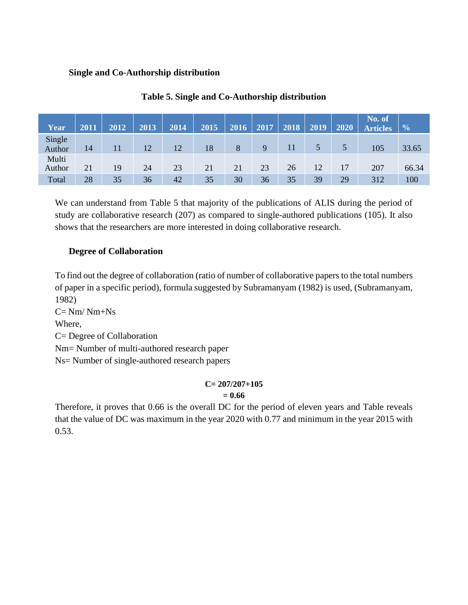#### **Single and Co-Authorship distribution**

| Year             | 2011 | 2012 | 2013 | 2014 | 2015 | 2016 | 2017 | 2018 | 2019 | 2020 | No. of<br><b>Articles</b> | $\frac{6}{6}$ |
|------------------|------|------|------|------|------|------|------|------|------|------|---------------------------|---------------|
| Single<br>Author | 14   | 11   | 12   | 12   | 18   | 8    | 9    | 11   | 5    | 5    | 105                       | 33.65         |
| Multi<br>Author  | 21   | 19   | 24   | 23   | 21   | 21   | 23   | 26   | 12   | 17   | 207                       | 66.34         |
| Total            | 28   | 35   | 36   | 42   | 35   | 30   | 36   | 35   | 39   | 29   | 312                       | 100           |

## **Table 5. Single and Co-Authorship distribution**

We can understand from Table 5 that majority of the publications of ALIS during the period of study are collaborative research (207) as compared to single-authored publications (105). It also shows that the researchers are more interested in doing collaborative research.

## **Degree of Collaboration**

To find out the degree of collaboration (ratio of number of collaborative papers to the total numbers of paper in a specific period), formula suggested by Subramanyam (1982) is used, (Subramanyam, 1982)

 $C = Nm/Nm+Ns$ Where, C= Degree of Collaboration Nm= Number of multi-authored research paper Ns= Number of single-authored research papers

## **C= 207/207+105 = 0.66**

Therefore, it proves that 0.66 is the overall DC for the period of eleven years and Table reveals that the value of DC was maximum in the year 2020 with 0.77 and minimum in the year 2015 with 0.53.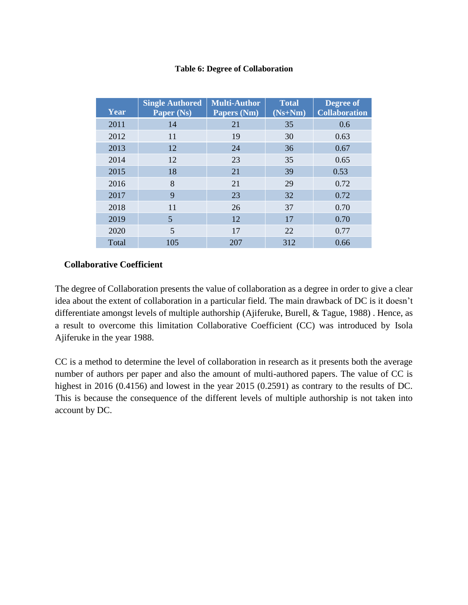#### **Table 6: Degree of Collaboration**

| Year  | <b>Single Authored</b><br>Paper (Ns) | <b>Multi-Author</b><br>Papers (Nm) | <b>Total</b><br>$(Ns+Nm)$ | Degree of<br><b>Collaboration</b> |
|-------|--------------------------------------|------------------------------------|---------------------------|-----------------------------------|
| 2011  | 14                                   | 21                                 | 35                        | 0.6                               |
| 2012  | 11                                   | 19                                 | 30                        | 0.63                              |
| 2013  | 12                                   | 24                                 | 36                        | 0.67                              |
| 2014  | 12                                   | 23                                 | 35                        | 0.65                              |
| 2015  | 18                                   | 21                                 | 39                        | 0.53                              |
| 2016  | 8                                    | 21                                 | 29                        | 0.72                              |
| 2017  | 9                                    | 23                                 | 32                        | 0.72                              |
| 2018  | 11                                   | 26                                 | 37                        | 0.70                              |
| 2019  | 5                                    | 12                                 | 17                        | 0.70                              |
| 2020  | 5                                    | 17                                 | 22                        | 0.77                              |
| Total | 105                                  | 207                                | 312                       | 0.66                              |

## **Collaborative Coefficient**

The degree of Collaboration presents the value of collaboration as a degree in order to give a clear idea about the extent of collaboration in a particular field. The main drawback of DC is it doesn't differentiate amongst levels of multiple authorship (Ajiferuke, Burell, & Tague, 1988) . Hence, as a result to overcome this limitation Collaborative Coefficient (CC) was introduced by Isola Ajiferuke in the year 1988.

CC is a method to determine the level of collaboration in research as it presents both the average number of authors per paper and also the amount of multi-authored papers. The value of CC is highest in 2016 (0.4156) and lowest in the year 2015 (0.2591) as contrary to the results of DC. This is because the consequence of the different levels of multiple authorship is not taken into account by DC.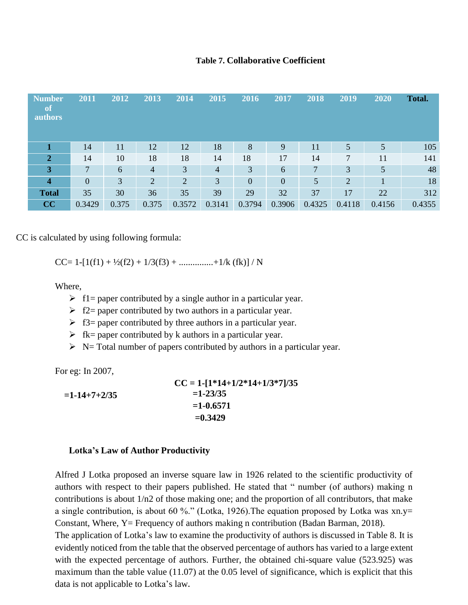#### **Table 7. Collaborative Coefficient**

| <b>Number</b><br>of<br><b>authors</b> | 2011           | 2012  | 2013           | 2014           | 2015           | 2016           | 2017           | 2018           | 2019           | 2020   | <b>Total.</b> |
|---------------------------------------|----------------|-------|----------------|----------------|----------------|----------------|----------------|----------------|----------------|--------|---------------|
|                                       | 14             | 11    | 12             | 12             | 18             | 8              | 9              | 11             | 5              | 5      | 105           |
| $\overline{2}$                        | 14             | 10    | 18             | 18             | 14             | 18             | 17             | 14             | $\overline{7}$ | 11     | 141           |
| 3                                     | 7              | 6     | $\overline{4}$ | 3              | $\overline{4}$ | 3              | 6              | $\overline{7}$ | 3              | 5      | 48            |
| $\overline{\mathbf{4}}$               | $\overline{0}$ | 3     | $\overline{2}$ | $\overline{2}$ | 3              | $\overline{0}$ | $\overline{0}$ | 5              | 2              |        | 18            |
| <b>Total</b>                          | 35             | 30    | 36             | 35             | 39             | 29             | 32             | 37             | 17             | 22     | 312           |
| CC                                    | 0.3429         | 0.375 | 0.375          | 0.3572         | 0.3141         | 0.3794         | 0.3906         | 0.4325         | 0.4118         | 0.4156 | 0.4355        |

CC is calculated by using following formula:

CC= 1-[1(f1) +  $\frac{1}{2}$ (f2) + 1/3(f3) + ...............+1/k (fk)] / N

Where,

- $\triangleright$  f1= paper contributed by a single author in a particular year.
- $\geq$  f2= paper contributed by two authors in a particular year.
- $\triangleright$  f3= paper contributed by three authors in a particular year.
- $\triangleright$  fk= paper contributed by k authors in a particular year.
- $\triangleright$  N= Total number of papers contributed by authors in a particular year.

For eg: In 2007,

|                | $CC = 1-[1*14+1/2*14+1/3*7]/35$ |
|----------------|---------------------------------|
| $=1-14+7+2/35$ | $=1 - 23/35$                    |
|                | $=1-0.6571$                     |
|                | $= 0.3429$                      |

#### **Lotka's Law of Author Productivity**

Alfred J Lotka proposed an inverse square law in 1926 related to the scientific productivity of authors with respect to their papers published. He stated that " number (of authors) making n contributions is about 1/n2 of those making one; and the proportion of all contributors, that make a single contribution, is about 60 %." (Lotka, 1926). The equation proposed by Lotka was  $xn.y=$ Constant, Where, Y= Frequency of authors making n contribution (Badan Barman, 2018).

The application of Lotka's law to examine the productivity of authors is discussed in Table 8. It is evidently noticed from the table that the observed percentage of authors has varied to a large extent with the expected percentage of authors. Further, the obtained chi-square value (523.925) was maximum than the table value (11.07) at the 0.05 level of significance, which is explicit that this data is not applicable to Lotka's law.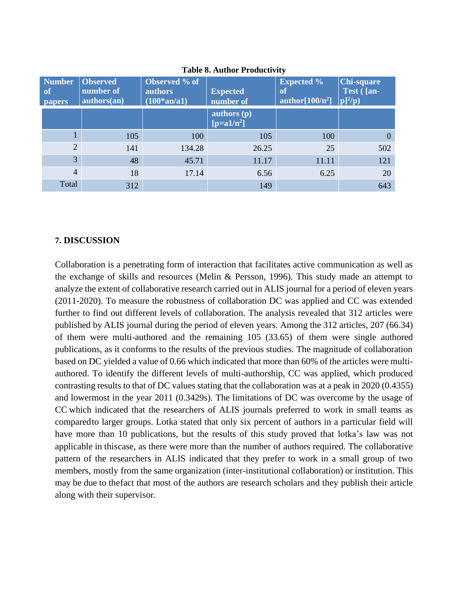| <b>Number</b><br>of<br><b>papers</b> | <b>Observed</b><br>number of<br>authors(an) | Observed % of<br><b>authors</b><br>$(100*an/a1)$ | <b>Expected</b><br>number of  | <b>Expected %</b><br>of<br>author $[100/\bar{n}^2]$ $ p ^2/p$ | <b>Chi-square</b><br>Test ([an- |
|--------------------------------------|---------------------------------------------|--------------------------------------------------|-------------------------------|---------------------------------------------------------------|---------------------------------|
|                                      |                                             |                                                  | authors $(p)$<br>$[p=a1/n^2]$ |                                                               |                                 |
|                                      | 105                                         | 100                                              | 105                           | 100                                                           | $\theta$                        |
| $\overline{2}$                       | 141                                         | 134.28                                           | 26.25                         | 25                                                            | 502                             |
| 3                                    | 48                                          | 45.71                                            | 11.17                         | 11.11                                                         | 121                             |
| $\overline{4}$                       | 18                                          | 17.14                                            | 6.56                          | 6.25                                                          | 20                              |
| Total                                | 312                                         |                                                  | 149                           |                                                               | 643                             |

**Table 8. Author Productivity**

## **7. DISCUSSION**

Collaboration is a penetrating form of interaction that facilitates active communication as well as the exchange of skills and resources (Melin & Persson, 1996). This study made an attempt to analyze the extent of collaborative research carried out in ALIS journal for a period of eleven years (2011-2020). To measure the robustness of collaboration DC was applied and CC was extended further to find out different levels of collaboration. The analysis revealed that 312 articles were published by ALIS journal during the period of eleven years. Among the 312 articles, 207 (66.34) of them were multi-authored and the remaining 105 (33.65) of them were single authored publications, as it conforms to the results of the previous studies. The magnitude of collaboration based on DC yielded a value of 0.66 which indicated that more than 60% of the articles were multiauthored. To identify the different levels of multi-authorship, CC was applied, which produced contrasting results to that of DC values stating that the collaboration was at a peak in 2020 (0.4355) and lowermost in the year 2011 (0.3429s). The limitations of DC was overcome by the usage of CC which indicated that the researchers of ALIS journals preferred to work in small teams as comparedto larger groups. Lotka stated that only six percent of authors in a particular field will have more than 10 publications, but the results of this study proved that lotka's law was not applicable in thiscase, as there were more than the number of authors required. The collaborative pattern of the researchers in ALIS indicated that they prefer to work in a small group of two members, mostly from the same organization (inter-institutional collaboration) or institution. This may be due to thefact that most of the authors are research scholars and they publish their article along with their supervisor.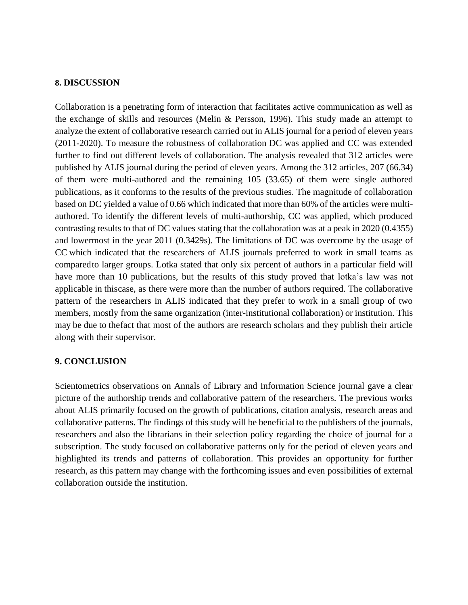#### **8. DISCUSSION**

Collaboration is a penetrating form of interaction that facilitates active communication as well as the exchange of skills and resources (Melin & Persson, 1996). This study made an attempt to analyze the extent of collaborative research carried out in ALIS journal for a period of eleven years (2011-2020). To measure the robustness of collaboration DC was applied and CC was extended further to find out different levels of collaboration. The analysis revealed that 312 articles were published by ALIS journal during the period of eleven years. Among the 312 articles, 207 (66.34) of them were multi-authored and the remaining 105 (33.65) of them were single authored publications, as it conforms to the results of the previous studies. The magnitude of collaboration based on DC yielded a value of 0.66 which indicated that more than 60% of the articles were multiauthored. To identify the different levels of multi-authorship, CC was applied, which produced contrasting results to that of DC values stating that the collaboration was at a peak in 2020 (0.4355) and lowermost in the year 2011 (0.3429s). The limitations of DC was overcome by the usage of CC which indicated that the researchers of ALIS journals preferred to work in small teams as comparedto larger groups. Lotka stated that only six percent of authors in a particular field will have more than 10 publications, but the results of this study proved that lotka's law was not applicable in thiscase, as there were more than the number of authors required. The collaborative pattern of the researchers in ALIS indicated that they prefer to work in a small group of two members, mostly from the same organization (inter-institutional collaboration) or institution. This may be due to thefact that most of the authors are research scholars and they publish their article along with their supervisor.

#### **9. CONCLUSION**

Scientometrics observations on Annals of Library and Information Science journal gave a clear picture of the authorship trends and collaborative pattern of the researchers. The previous works about ALIS primarily focused on the growth of publications, citation analysis, research areas and collaborative patterns. The findings of this study will be beneficial to the publishers of the journals, researchers and also the librarians in their selection policy regarding the choice of journal for a subscription. The study focused on collaborative patterns only for the period of eleven years and highlighted its trends and patterns of collaboration. This provides an opportunity for further research, as this pattern may change with the forthcoming issues and even possibilities of external collaboration outside the institution.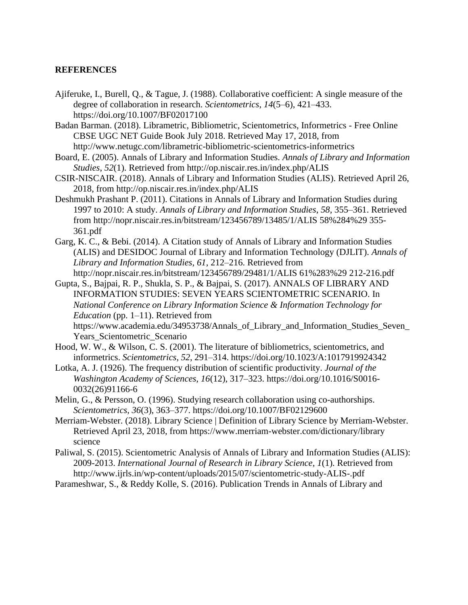#### **REFERENCES**

- Ajiferuke, I., Burell, Q., & Tague, J. (1988). Collaborative coefficient: A single measure of the degree of collaboration in research. *Scientometrics*, *14*(5–6), 421–433. https://doi.org/10.1007/BF02017100
- Badan Barman. (2018). Librametric, Bibliometric, Scientometrics, Informetrics Free Online CBSE UGC NET Guide Book July 2018. Retrieved May 17, 2018, from <http://www.netugc.com/librametric-bibliometric-scientometrics-informetrics>
- Board, E. (2005). Annals of Library and Information Studies. *Annals of Library and Information Studies*, *52*(1). Retrieved from<http://op.niscair.res.in/index.php/ALIS>
- CSIR-NISCAIR. (2018). Annals of Library and Information Studies (ALIS). Retrieved April 26, 2018, from<http://op.niscair.res.in/index.php/ALIS>
- Deshmukh Prashant P. (2011). Citations in Annals of Library and Information Studies during 1997 to 2010: A study. *Annals of Library and Information Studies*, *58*, 355–361. Retrieved from [http://nopr.niscair.res.in/bitstream/123456789/13485/1/ALIS 5](http://nopr.niscair.res.in/bitstream/123456789/13485/1/ALIS)8%284%29 355- 361.pdf
- Garg, K. C., & Bebi. (2014). A Citation study of Annals of Library and Information Studies (ALIS) and DESIDOC Journal of Library and Information Technology (DJLIT). *Annals of Library and Information Studies*, *61*, 212–216. Retrieved from <http://nopr.niscair.res.in/bitstream/123456789/29481/1/ALIS> 61%283%29 212-216.pdf
- Gupta, S., Bajpai, R. P., Shukla, S. P., & Bajpai, S. (2017). ANNALS OF LIBRARY AND INFORMATION STUDIES: SEVEN YEARS SCIENTOMETRIC SCENARIO. In *National Conference on Library Information Science & Information Technology for Education* (pp. 1–11). Retrieved from

https://www.academia.edu/34953738/Annals of Library and Information Studies Seven Years\_Scientometric\_Scenario

- Hood, W. W., & Wilson, C. S. (2001). The literature of bibliometrics, scientometrics, and informetrics. *Scientometrics*, *52*, 291–314. https://doi.org/10.1023/A:1017919924342
- Lotka, A. J. (1926). The frequency distribution of scientific productivity. *Journal of the Washington Academy of Sciences*, *16*(12), 317–323. https://doi.org/10.1016/S0016- 0032(26)91166-6
- Melin, G., & Persson, O. (1996). Studying research collaboration using co-authorships. *Scientometrics*, *36*(3), 363–377. https://doi.org/10.1007/BF02129600
- Merriam-Webster. (2018). Library Science | Definition of Library Science by Merriam-Webster. Retrieved April 23, 2018, from https:/[/www.merriam-webster.com/dictionary/library](http://www.merriam-webster.com/dictionary/library) science
- Paliwal, S. (2015). Scientometric Analysis of Annals of Library and Information Studies (ALIS): 2009-2013. *International Journal of Research in Library Science*, *1*(1). Retrieved from <http://www.ijrls.in/wp-content/uploads/2015/07/scientometric-study-ALIS-.pdf>
- Parameshwar, S., & Reddy Kolle, S. (2016). Publication Trends in Annals of Library and